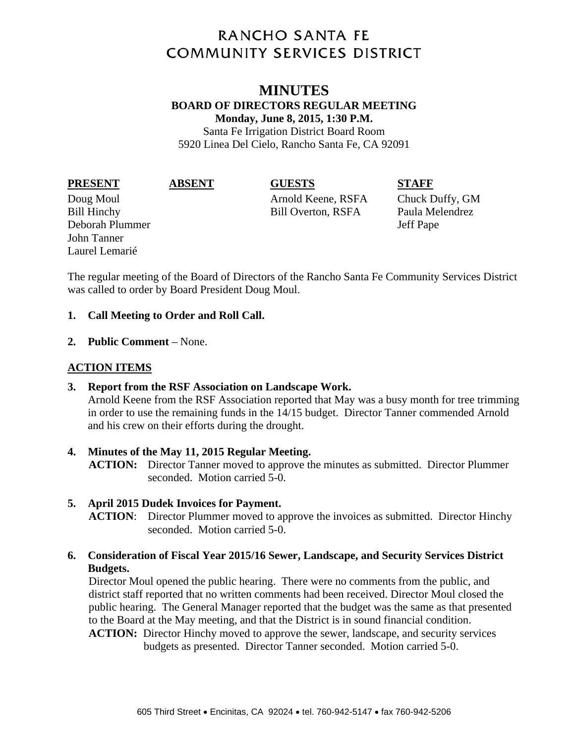# **RANCHO SANTA FE COMMUNITY SERVICES DISTRICT**

# **MINUTES BOARD OF DIRECTORS REGULAR MEETING Monday, June 8, 2015, 1:30 P.M.**

Santa Fe Irrigation District Board Room 5920 Linea Del Cielo, Rancho Santa Fe, CA 92091

#### **PRESENT ABSENT GUESTS STAFF**

Deborah Plummer Jeff Pape John Tanner Laurel Lemarié

Doug Moul Arnold Keene, RSFA Chuck Duffy, GM Bill Hinchy Bill Overton, RSFA Paula Melendrez

The regular meeting of the Board of Directors of the Rancho Santa Fe Community Services District was called to order by Board President Doug Moul.

### **1. Call Meeting to Order and Roll Call.**

**2. Public Comment** – None.

# **ACTION ITEMS**

**3. Report from the RSF Association on Landscape Work.**  Arnold Keene from the RSF Association reported that May was a busy month for tree trimming in order to use the remaining funds in the 14/15 budget. Director Tanner commended Arnold and his crew on their efforts during the drought.

### **4. Minutes of the May 11, 2015 Regular Meeting. ACTION:** Director Tanner moved to approve the minutes as submitted. Director Plummer seconded. Motion carried 5-0.

# **5. April 2015 Dudek Invoices for Payment.**

**ACTION**: Director Plummer moved to approve the invoices as submitted. Director Hinchy seconded. Motion carried 5-0.

## **6. Consideration of Fiscal Year 2015/16 Sewer, Landscape, and Security Services District Budgets.**

Director Moul opened the public hearing. There were no comments from the public, and district staff reported that no written comments had been received. Director Moul closed the public hearing. The General Manager reported that the budget was the same as that presented to the Board at the May meeting, and that the District is in sound financial condition. **ACTION:** Director Hinchy moved to approve the sewer, landscape, and security services

budgets as presented. Director Tanner seconded. Motion carried 5-0.